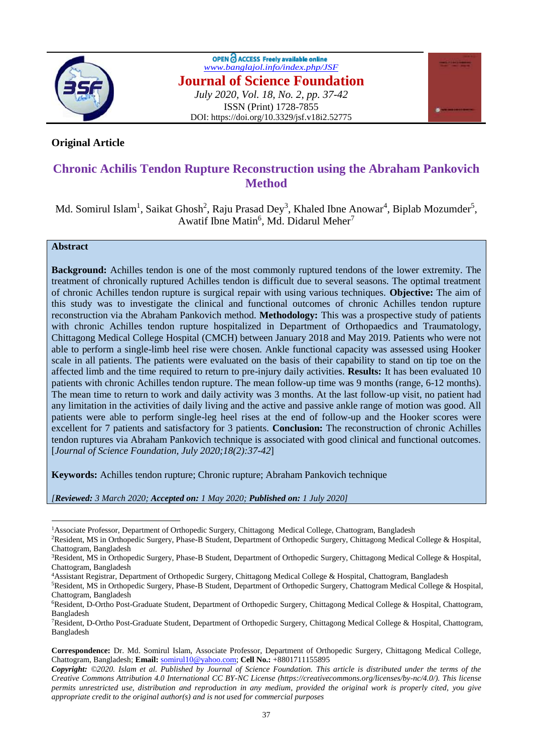

OPEN C ACCESS Freely available online *[www.banglajol.info/index.php/JSF](http://www.banglajol.info/index.php/JSF)* **Journal of Science Foundation** *July 2020, Vol. 18, No. 2, pp. 37-42* ISSN (Print) 1728-7855 DOI: https://doi.org/10.3329/jsf.v18i2.52775



# **Original Article**

# **Chronic Achilis Tendon Rupture Reconstruction using the Abraham Pankovich Method**

Md. Somirul Islam<sup>1</sup>, Saikat Ghosh<sup>2</sup>, Raju Prasad Dey<sup>3</sup>, Khaled Ibne Anowar<sup>4</sup>, Biplab Mozumder<sup>5</sup>, Awatif Ibne Matin<sup>6</sup>, Md. Didarul Meher<sup>7</sup>

# **Abstract**

 $\overline{a}$ 

**Background:** Achilles tendon is one of the most commonly ruptured tendons of the lower extremity. The treatment of chronically ruptured Achilles tendon is difficult due to several seasons. The optimal treatment of chronic Achilles tendon rupture is surgical repair with using various techniques. **Objective:** The aim of this study was to investigate the clinical and functional outcomes of chronic Achilles tendon rupture reconstruction via the Abraham Pankovich method. **Methodology:** This was a prospective study of patients with chronic Achilles tendon rupture hospitalized in Department of Orthopaedics and Traumatology, Chittagong Medical College Hospital (CMCH) between January 2018 and May 2019. Patients who were not able to perform a single-limb heel rise were chosen. Ankle functional capacity was assessed using Hooker scale in all patients. The patients were evaluated on the basis of their capability to stand on tip toe on the affected limb and the time required to return to pre-injury daily activities. **Results:** It has been evaluated 10 patients with chronic Achilles tendon rupture. The mean follow-up time was 9 months (range, 6-12 months). The mean time to return to work and daily activity was 3 months. At the last follow-up visit, no patient had any limitation in the activities of daily living and the active and passive ankle range of motion was good. All patients were able to perform single-leg heel rises at the end of follow-up and the Hooker scores were excellent for 7 patients and satisfactory for 3 patients. **Conclusion:** The reconstruction of chronic Achilles tendon ruptures via Abraham Pankovich technique is associated with good clinical and functional outcomes. [*Journal of Science Foundation, July 2020;18(2):37-42*]

**Keywords:** Achilles tendon rupture; Chronic rupture; Abraham Pankovich technique

*[Reviewed: 3 March 2020; Accepted on: 1 May 2020; Published on: 1 July 2020]*

<sup>&</sup>lt;sup>1</sup>Associate Professor, Department of Orthopedic Surgery, Chittagong Medical College, Chattogram, Bangladesh

<sup>2</sup>Resident, MS in Orthopedic Surgery, Phase-B Student, Department of Orthopedic Surgery, Chittagong Medical College & Hospital, Chattogram, Bangladesh

<sup>&</sup>lt;sup>3</sup>Resident, MS in Orthopedic Surgery, Phase-B Student, Department of Orthopedic Surgery, Chittagong Medical College & Hospital, Chattogram, Bangladesh

<sup>4</sup>Assistant Registrar, Department of Orthopedic Surgery, Chittagong Medical College & Hospital, Chattogram, Bangladesh

<sup>5</sup>Resident, MS in Orthopedic Surgery, Phase-B Student, Department of Orthopedic Surgery, Chattogram Medical College & Hospital, Chattogram, Bangladesh

<sup>6</sup>Resident, D-Ortho Post-Graduate Student, Department of Orthopedic Surgery, Chittagong Medical College & Hospital, Chattogram, Bangladesh

<sup>7</sup>Resident, D-Ortho Post-Graduate Student, Department of Orthopedic Surgery, Chittagong Medical College & Hospital, Chattogram, Bangladesh

**Correspondence:** Dr. Md. Somirul Islam, Associate Professor, Department of Orthopedic Surgery, Chittagong Medical College, Chattogram, Bangladesh; **Email:** [somirul10@yahoo.com;](mailto:somirul10@yahoo.com) **Cell No.:** +8801711155895

*Copyright: ©2020. Islam et al. Published by Journal of Science Foundation. This article is distributed under the terms of the Creative Commons Attribution 4.0 International CC BY-NC License (https://creativecommons.org/licenses/by-nc/4.0/). This license permits unrestricted use, distribution and reproduction in any medium, provided the original work is properly cited, you give appropriate credit to the original author(s) and is not used for commercial purposes*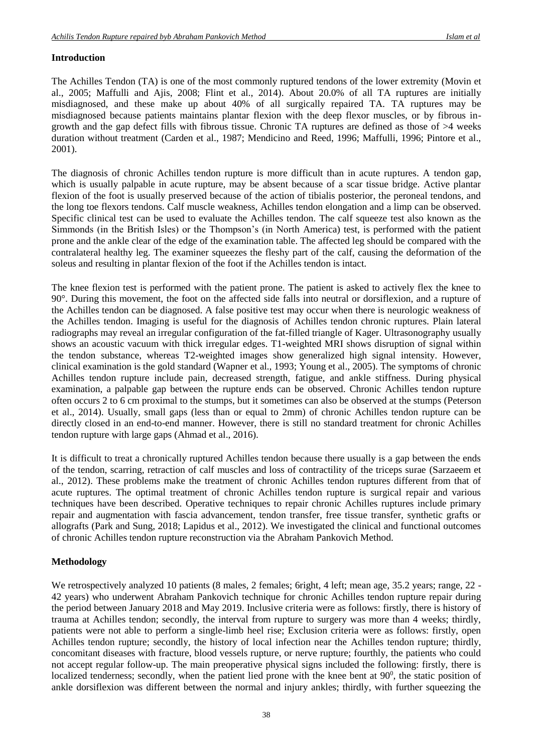# **Introduction**

The Achilles Tendon (TA) is one of the most commonly ruptured tendons of the lower extremity (Movin et al., 2005; Maffulli and Ajis, 2008; Flint et al., 2014). About 20.0% of all TA ruptures are initially misdiagnosed, and these make up about 40% of all surgically repaired TA. TA ruptures may be misdiagnosed because patients maintains plantar flexion with the deep flexor muscles, or by fibrous ingrowth and the gap defect fills with fibrous tissue. Chronic TA ruptures are defined as those of >4 weeks duration without treatment (Carden et al., 1987; Mendicino and Reed, 1996; Maffulli, 1996; Pintore et al., 2001).

The diagnosis of chronic Achilles tendon rupture is more difficult than in acute ruptures. A tendon gap, which is usually palpable in acute rupture, may be absent because of a scar tissue bridge. Active plantar flexion of the foot is usually preserved because of the action of tibialis posterior, the peroneal tendons, and the long toe flexors tendons. Calf muscle weakness, Achilles tendon elongation and a limp can be observed. Specific clinical test can be used to evaluate the Achilles tendon. The calf squeeze test also known as the Simmonds (in the British Isles) or the Thompson's (in North America) test, is performed with the patient prone and the ankle clear of the edge of the examination table. The affected leg should be compared with the contralateral healthy leg. The examiner squeezes the fleshy part of the calf, causing the deformation of the soleus and resulting in plantar flexion of the foot if the Achilles tendon is intact.

The knee flexion test is performed with the patient prone. The patient is asked to actively flex the knee to 90°. During this movement, the foot on the affected side falls into neutral or dorsiflexion, and a rupture of the Achilles tendon can be diagnosed. A false positive test may occur when there is neurologic weakness of the Achilles tendon. Imaging is useful for the diagnosis of Achilles tendon chronic ruptures. Plain lateral radiographs may reveal an irregular configuration of the fat-filled triangle of Kager. Ultrasonography usually shows an acoustic vacuum with thick irregular edges. T1-weighted MRI shows disruption of signal within the tendon substance, whereas T2-weighted images show generalized high signal intensity. However, clinical examination is the gold standard (Wapner et al., 1993; Young et al., 2005). The symptoms of chronic Achilles tendon rupture include pain, decreased strength, fatigue, and ankle stiffness. During physical examination, a palpable gap between the rupture ends can be observed. Chronic Achilles tendon rupture often occurs 2 to 6 cm proximal to the stumps, but it sometimes can also be observed at the stumps (Peterson et al., 2014). Usually, small gaps (less than or equal to 2mm) of chronic Achilles tendon rupture can be directly closed in an end-to-end manner. However, there is still no standard treatment for chronic Achilles tendon rupture with large gaps (Ahmad et al., 2016).

It is difficult to treat a chronically ruptured Achilles tendon because there usually is a gap between the ends of the tendon, scarring, retraction of calf muscles and loss of contractility of the triceps surae (Sarzaeem et al., 2012). These problems make the treatment of chronic Achilles tendon ruptures different from that of acute ruptures. The optimal treatment of chronic Achilles tendon rupture is surgical repair and various techniques have been described. Operative techniques to repair chronic Achilles ruptures include primary repair and augmentation with fascia advancement, tendon transfer, free tissue transfer, synthetic grafts or allografts (Park and Sung, 2018; Lapidus et al., 2012). We investigated the clinical and functional outcomes of chronic Achilles tendon rupture reconstruction via the Abraham Pankovich Method.

# **Methodology**

We retrospectively analyzed 10 patients (8 males, 2 females; 6right, 4 left; mean age, 35.2 years; range, 22 -42 years) who underwent Abraham Pankovich technique for chronic Achilles tendon rupture repair during the period between January 2018 and May 2019. Inclusive criteria were as follows: firstly, there is history of trauma at Achilles tendon; secondly, the interval from rupture to surgery was more than 4 weeks; thirdly, patients were not able to perform a single-limb heel rise; Exclusion criteria were as follows: firstly, open Achilles tendon rupture; secondly, the history of local infection near the Achilles tendon rupture; thirdly, concomitant diseases with fracture, blood vessels rupture, or nerve rupture; fourthly, the patients who could not accept regular follow-up. The main preoperative physical signs included the following: firstly, there is localized tenderness; secondly, when the patient lied prone with the knee bent at  $90^\circ$ , the static position of ankle dorsiflexion was different between the normal and injury ankles; thirdly, with further squeezing the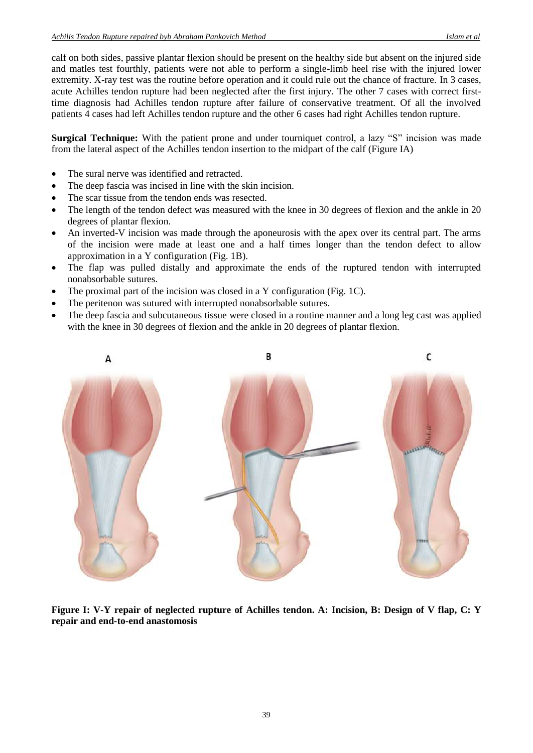calf on both sides, passive plantar flexion should be present on the healthy side but absent on the injured side and matles test fourthly, patients were not able to perform a single-limb heel rise with the injured lower extremity. X-ray test was the routine before operation and it could rule out the chance of fracture. In 3 cases, acute Achilles tendon rupture had been neglected after the first injury. The other 7 cases with correct firsttime diagnosis had Achilles tendon rupture after failure of conservative treatment. Of all the involved patients 4 cases had left Achilles tendon rupture and the other 6 cases had right Achilles tendon rupture.

**Surgical Technique:** With the patient prone and under tourniquet control, a lazy "S" incision was made from the lateral aspect of the Achilles tendon insertion to the midpart of the calf (Figure IA)

- The sural nerve was identified and retracted.
- The deep fascia was incised in line with the skin incision.
- The scar tissue from the tendon ends was resected.
- The length of the tendon defect was measured with the knee in 30 degrees of flexion and the ankle in 20 degrees of plantar flexion.
- An inverted-V incision was made through the aponeurosis with the apex over its central part. The arms of the incision were made at least one and a half times longer than the tendon defect to allow approximation in a Y configuration (Fig. 1B).
- The flap was pulled distally and approximate the ends of the ruptured tendon with interrupted nonabsorbable sutures.
- The proximal part of the incision was closed in a Y configuration (Fig. 1C).
- The peritenon was sutured with interrupted nonabsorbable sutures.
- The deep fascia and subcutaneous tissue were closed in a routine manner and a long leg cast was applied with the knee in 30 degrees of flexion and the ankle in 20 degrees of plantar flexion.



**Figure I: V-Y repair of neglected rupture of Achilles tendon. A: Incision, B: Design of V flap, C: Y repair and end-to-end anastomosis**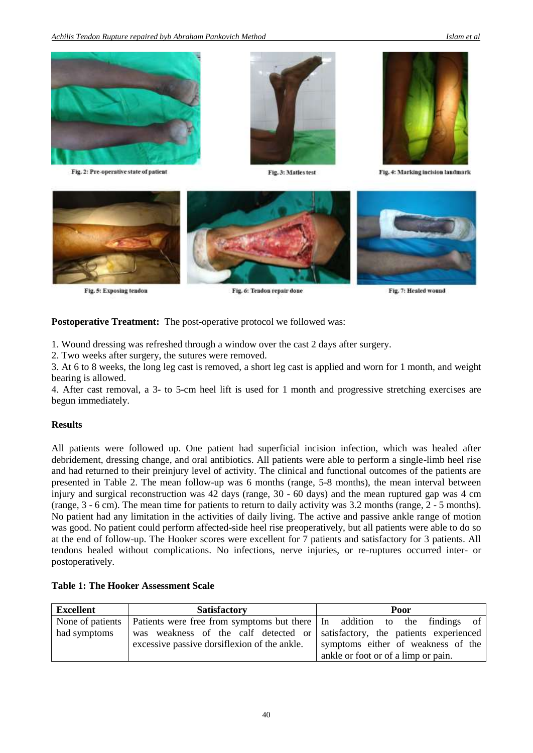

Fig. 2: Pre-operative state of patient



Fig. 3: Matles test



Fig. 4: Marking incision landmark



Fig. 5: Exposing tendon

Fig. 6: Tendon repair done

Fig. 7: Healed wound

**Postoperative Treatment:** The post-operative protocol we followed was:

1. Wound dressing was refreshed through a window over the cast 2 days after surgery.

2. Two weeks after surgery, the sutures were removed.

3. At 6 to 8 weeks, the long leg cast is removed, a short leg cast is applied and worn for 1 month, and weight bearing is allowed.

4. After cast removal, a 3- to 5-cm heel lift is used for 1 month and progressive stretching exercises are begun immediately.

#### **Results**

All patients were followed up. One patient had superficial incision infection, which was healed after debridement, dressing change, and oral antibiotics. All patients were able to perform a single-limb heel rise and had returned to their preinjury level of activity. The clinical and functional outcomes of the patients are presented in Table 2. The mean follow-up was 6 months (range, 5-8 months), the mean interval between injury and surgical reconstruction was 42 days (range, 30 - 60 days) and the mean ruptured gap was 4 cm (range, 3 - 6 cm). The mean time for patients to return to daily activity was 3.2 months (range, 2 - 5 months). No patient had any limitation in the activities of daily living. The active and passive ankle range of motion was good. No patient could perform affected-side heel rise preoperatively, but all patients were able to do so at the end of follow-up. The Hooker scores were excellent for 7 patients and satisfactory for 3 patients. All tendons healed without complications. No infections, nerve injuries, or re-ruptures occurred inter- or postoperatively.

## **Table 1: The Hooker Assessment Scale**

| <b>Excellent</b> | <b>Satisfactory</b>                                                                            | Poor                                |  |  |
|------------------|------------------------------------------------------------------------------------------------|-------------------------------------|--|--|
|                  | None of patients   Patients were free from symptoms but there   In addition to the findings of |                                     |  |  |
| had symptoms     | was weakness of the calf detected or satisfactory, the patients experienced                    |                                     |  |  |
|                  | excessive passive dorsifiexion of the ankle.                                                   | symptoms either of weakness of the  |  |  |
|                  |                                                                                                | ankle or foot or of a limp or pain. |  |  |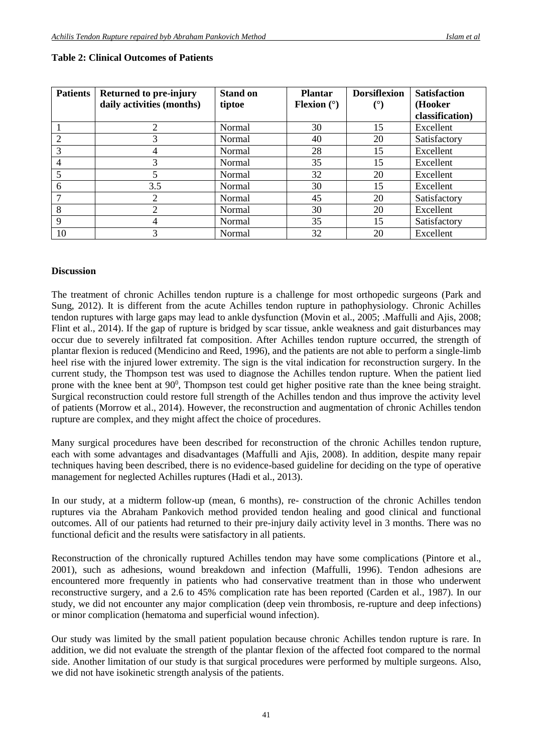| <b>Patients</b> | <b>Returned to pre-injury</b> | <b>Stand on</b> | <b>Plantar</b>       | <b>Dorsiflexion</b> | <b>Satisfaction</b> |
|-----------------|-------------------------------|-----------------|----------------------|---------------------|---------------------|
|                 | daily activities (months)     | tiptoe          | <b>Flexion</b> $(°)$ | (°)                 | (Hooker             |
|                 |                               |                 |                      |                     | classification)     |
|                 | 2                             | Normal          | 30                   | 15                  | Excellent           |
|                 |                               | Normal          | 40                   | 20                  | Satisfactory        |
| 3               |                               | Normal          | 28                   | 15                  | Excellent           |
| 4               | 3                             | Normal          | 35                   | 15                  | Excellent           |
| 5               | 5                             | Normal          | 32                   | 20                  | Excellent           |
| 6               | 3.5                           | <b>Normal</b>   | 30                   | 15                  | Excellent           |
|                 | $\overline{2}$                | Normal          | 45                   | 20                  | Satisfactory        |
| 8               | 2                             | Normal          | 30                   | 20                  | Excellent           |
| 9               | 4                             | <b>Normal</b>   | 35                   | 15                  | Satisfactory        |
| 10              |                               | Normal          | 32                   | 20                  | Excellent           |

#### **Table 2: Clinical Outcomes of Patients**

#### **Discussion**

The treatment of chronic Achilles tendon rupture is a challenge for most orthopedic surgeons (Park and Sung, 2012). It is different from the acute Achilles tendon rupture in pathophysiology. Chronic Achilles tendon ruptures with large gaps may lead to ankle dysfunction (Movin et al., 2005; .Maffulli and Ajis, 2008; Flint et al., 2014). If the gap of rupture is bridged by scar tissue, ankle weakness and gait disturbances may occur due to severely infiltrated fat composition. After Achilles tendon rupture occurred, the strength of plantar flexion is reduced (Mendicino and Reed, 1996), and the patients are not able to perform a single-limb heel rise with the injured lower extremity. The sign is the vital indication for reconstruction surgery. In the current study, the Thompson test was used to diagnose the Achilles tendon rupture. When the patient lied prone with the knee bent at 90<sup>0</sup>, Thompson test could get higher positive rate than the knee being straight. Surgical reconstruction could restore full strength of the Achilles tendon and thus improve the activity level of patients (Morrow et al., 2014). However, the reconstruction and augmentation of chronic Achilles tendon rupture are complex, and they might affect the choice of procedures.

Many surgical procedures have been described for reconstruction of the chronic Achilles tendon rupture, each with some advantages and disadvantages (Maffulli and Ajis, 2008). In addition, despite many repair techniques having been described, there is no evidence-based guideline for deciding on the type of operative management for neglected Achilles ruptures (Hadi et al., 2013).

In our study, at a midterm follow-up (mean, 6 months), re- construction of the chronic Achilles tendon ruptures via the Abraham Pankovich method provided tendon healing and good clinical and functional outcomes. All of our patients had returned to their pre-injury daily activity level in 3 months. There was no functional deficit and the results were satisfactory in all patients.

Reconstruction of the chronically ruptured Achilles tendon may have some complications (Pintore et al., 2001), such as adhesions, wound breakdown and infection (Maffulli, 1996). Tendon adhesions are encountered more frequently in patients who had conservative treatment than in those who underwent reconstructive surgery, and a 2.6 to 45% complication rate has been reported (Carden et al., 1987). In our study, we did not encounter any major complication (deep vein thrombosis, re-rupture and deep infections) or minor complication (hematoma and superficial wound infection).

Our study was limited by the small patient population because chronic Achilles tendon rupture is rare. In addition, we did not evaluate the strength of the plantar flexion of the affected foot compared to the normal side. Another limitation of our study is that surgical procedures were performed by multiple surgeons. Also, we did not have isokinetic strength analysis of the patients.